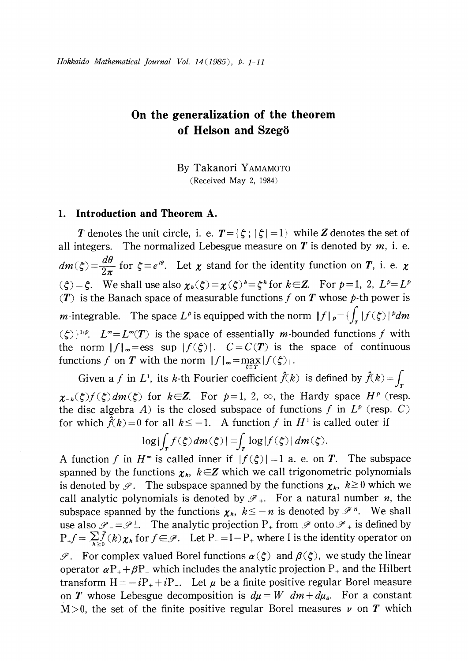# On the generalization of the theorem of Helson and Szegö

By Takanori YAMAMOTO (Received May 2, 1984)

## 1. Introduction and Theorem A.

T denotes the unit circle, i. e.  $T=\{\zeta;|\zeta|=1\}$  while Z denotes the set of all integers. The normalized Lebesgue measure on  $T$  is denoted by  $m$ , i. e.  $dm(\zeta)=\frac{d\theta}{2\pi}$  for  $\zeta=e^{i\theta}$ . Let  $\chi$  stand for the identity function on T, i. e.  $\chi$  $(\zeta)=\zeta$ . We shall use also  $\chi_{k}(\zeta)=\chi(\zeta)^{k}=\zeta^{k}$  for  $k\in \mathbb{Z}$ . For  $p=1, 2, L^{p}=L^{p}$ (T) is the Banach space of measurable functions f on T whose  $p$ -th power is *m*-integrable. The space  $L^{p}$  is equipped with the norm  $||f||_{p} = \{\int_{T}|f(\zeta)|^{p}dm\}$  $(\subset)$   $\rangle$   $\downarrow$   $'$   $\rangle$  $L^{\infty}=L^{\infty}(T)$  is the space of essentially m-bounded functions f with the norm  $||f||_{\infty}=\text{ess}$  sup  $|f(\xi)|$ .  $C=C(T)$  is the space of continuous functions f on T with the norm  $||f||_{\infty} = \max_{\zeta \in T} |f(\zeta)|$ .

Given a f in  $L^{1}$ , its k-th Fourier coefficient  $\hat{f}(k)$  is defined by  $\hat{f}(k)=\int_{T}$  $\chi_{-k}(\zeta)f(\zeta)dm(\zeta)$  for  $k\in \mathbb{Z}$ . For  $p=1,2, \infty$ , the Hardy space  $H^{p}$  (resp. the disc algebra A) is the closed subspace of functions f in  $L^{p}$  (resp. C) for which  $\hat{f}(k) = 0$  for all  $k \leq -1$ . A function f in  $H^{1}$  is called outer if

$$
\log|\int_{T} f(\xi) dm(\xi)| = \int_{T} \log|f(\xi)| dm(\xi).
$$

A function f in  $H^{\infty}$  is called inner if  $|f(\xi)|=1$  a. e. on T. The subspace spanned by the functions  $\chi_{k}$ ,  $k\in \mathbb{Z}$  which we call trigonometric polynomials is denoted by  $\mathscr{P}.$  The subspace spanned by the functions  $\chi_{k} ,\; k\geq 0$  which we call analytic polynomials is denoted by  $\mathscr{I}_{+}.$  For a natural number  $n,$  the subspace spanned by the functions  $\chi_{k}$ ,  $k\leq-n$  is denoted by  $\mathscr{P}$  .". We shall use also  $\mathscr{P}_{-}=\mathscr{P}_{-}^{1}$ . The analytic projection P<sub>+</sub> from  $\mathscr{P}$  onto  $\mathscr{P}_{+}$  is defined by  $P_{+}f=\sum_{k\geq 0} f(k)\chi_{k}$  for  $f\in \mathscr{P}$ . Let  $P_{-}=-P_{+}$  where I is the identity operator on  $\mathscr{P}$ . For complex valued Borel functions  $\alpha(\zeta)$  and  $\beta(\zeta)$ , we study the linear operator  $\alpha P_{+}+\beta P_{-}$  which includes the analytic projection P<sub>+</sub> and the Hilbert transform  $H=-iP_{+}+iP_{-}$ . Let  $\mu$  be a finite positive regular Borel measure on T whose Lebesgue decomposition is  $d\mu = W dm + d\mu_{s}$ . For a constant  $M>0$ , the set of the finite positive regular Borel measures  $\nu$  on T which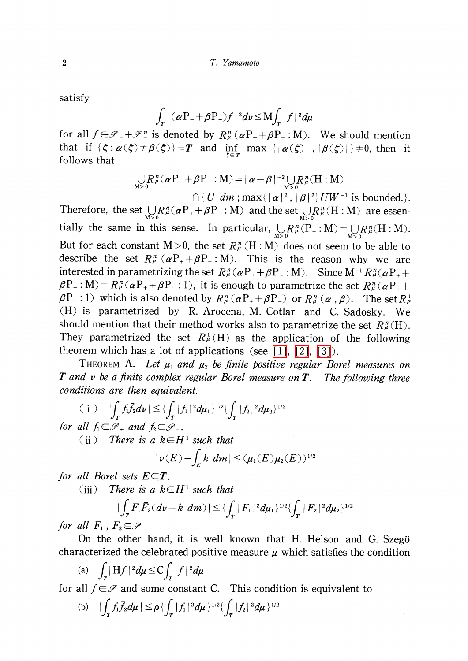satisfy

$$
\int_T |(\alpha P_+ + \beta P_-) f|^2 d\nu \leq M \int_T |f|^2 d\mu
$$

for all  $f\in \mathscr{P}_{+}+\mathscr{P}_{-}^{n}$  is denoted by  $R_{\mu}^{n} (\alpha P_{+}+\beta P_{-} : M)$ . We should mention that if  $\{\zeta;\alpha(\zeta)\neq\beta(\zeta)\}=T$  and  $\inf_{\zeta\in\Gamma}$  max  $\{| \alpha(\zeta)|, | \beta(\zeta)|\}\neq 0$ , then it follows that

$$
\bigcup_{M>0} R^n_{\mu}(\alpha P_+ + \beta P_- : M) = |\alpha - \beta|^{-2} \bigcup_{M>0} R^n_{\mu} (H : M)
$$

 $\cap \, \{ \, U \, | \, dm : \max \{ \, |\, \alpha\,|^{\,2}\, , \, |\boldsymbol{\beta}\,|^{\,2}\} \, UW^{\,-1} \, \, \textrm{is bounded.}\}.$ Therefore, the set  $\bigcup_{M>0}R_{\mu}^{n} (\alpha P_{+}+\beta P_{-}: M)$  and the set  $\bigcup_{M>0}R_{\mu}^{n}(H:M)$  are essentially the same in this sense. In particular,  $\bigcup_{M>0}R_{\mu}^{n}(P_{+}: M)=\bigcup_{M>0}R_{\mu}^{n}(H:M)$ . But for each constant  $M>0$ , the set  $R_{\mu}^{n}(H:M)$  does not seem to be able to describe the set  $R_{\mu}^{n} (\alpha P_{+}+\beta P_{-} : M)$ . This is the reason why we are interested in parametrizing the set  $R_{\mu}^{n} (\alpha P_{+}+\beta P_{-} : M)$ . Since  $M^{-1}R_{\mu}^{n}(\alpha P_{+}+$  $\beta P_{-}:M)=R_{\mu}^{n}(\alpha P_{+}+\beta P_{-} : 1)$ , it is enough to parametrize the set  $R_{\mu}^{n}(\alpha P_{+}+$  $\beta P_{-}:1)$  which is also denoted by  $R_{\mu}^{n}(\alpha P_{+}+\beta P_{-})$  or  $R_{\mu}^{n}(\alpha, \beta)$ . The set  $R_{\mu}^{1}$ (H) is parametrized by R. Arocena, M. Cotlar and C. Sadosky. We should mention that their method works also to parametrize the set  $R_{\mu}^{n}(\mathrm{H}).$ They parametrized the set  $R_{\mu}^{1}(H)$  as the application of the following theorem which has a lot of applications (see [\[1\],](#page-9-0) [\[2\],](#page-9-1) [\[3\]\)](#page-9-2).

<span id="page-1-0"></span>THEOREM A. Let  $\mu_{1}$  and  $\mu_{2}$  be finite positive regular Borel measures on  $T$  and  $\nu$  be a finite complex regular Borel measure on  $T$ . The following three conditions are then equivalent.

(i) 
$$
|\int_T f_1 \bar{f}_2 d\nu| \leq {\{\int_T |f_1|^2 d\mu_1\}^{1/2}} {\{\int_T |f_2|^2 d\mu_2\}^{1/2}}
$$
  
for all  $f_1 \in \mathcal{P}_+$  and  $f_2 \in \mathcal{P}_-$ .

for all  $f_{1}\in \mathcal{P}_{+}$  and  $f_{2}\in \mathcal{P}_{-}$ .<br>(ii) There is a  $k\in H^{1}$  such that

$$
|\nu(E) - \int_E k \ dm| \leq (\mu_1(E)\mu_2(E))^{1/2}
$$

for all Borel sets  $E\subseteq T$ .

(iii) There is a  $k \in H^{1}$  such that

$$
|\int_{T} F_{1} \bar{F}_{2} (d\mathbf{v} - k \, dm) | \leq \int_{T} |F_{1}|^{2} d\mu_{1} \rangle^{1/2} \{ \int_{T} |F_{2}|^{2} d\mu_{2} \}^{1/2}
$$

for all  $F_{1}$ ,  $F_{2} \in \mathcal{P}$ 

On the other hand, it is well known that H. Helson and G. Szegö characterized the celebrated positive measure  $\mu$  which satisfies the condition

(a) 
$$
\int_T |Hf|^2 d\mu \leq C \int_T |f|^2 d\mu
$$

for all  $f\in \mathcal{P}$  and some constant C. This condition is equivalent to

(b) 
$$
|\int_T f_1 \bar{f}_2 d\mu| \leq \rho \left\{ \int_T |f_1|^2 d\mu \right\}^{1/2} \left\{ \int_T |f_2|^2 d\mu \right\}^{1/2}
$$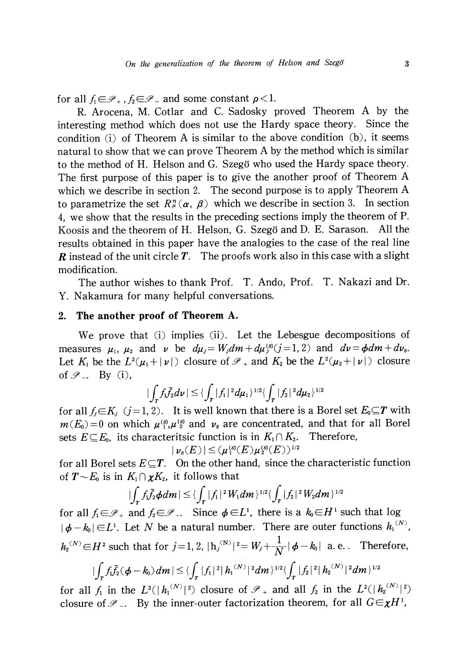for all  $f_{1} \in \mathscr{P}_{+}$  ,  $f_{2} \in \mathscr{P}_{-}$  and some constant  $\rho < 1$ .

R. Arocena, M. Cotlar and C. Sadosky proved Theorem A by the interesting method which does not use the Hardy space theory. Since the condition (i) of Theorem A is similar to the above condition (b), it seems natural to show that we can prove Theorem A by the method which is similar to the method of H. Helson and G. Szegö who used the Hardy space theory. The first purpose of this paper is to give the another proof of Theorem A which we describe in section 2. The second purpose is to apply Theorem A to parametrize the set  $R_{\mu}^{n}(\alpha, \beta)$  which we describe in section 3. In section 4, we show that the results in the preceding sections imply the theorem of P. Koosis and the theorem of H. Helson, G. Szegö and D. E. Sarason. All the results obtained in this paper have the analogies to the case of the real line **R** instead of the unit circle  $T$ . The proofs work also in this case with a slight modification.

The author wishes to thank Prof. T. Ando, Prof. T. Nakazi and Dr. Y. Nakamura for many helpful conversations.

## 2. The another proof of Theorem A.

We prove that (i) implies (ii). Let the Lebesgue decompositions of measures  $\mu_{1}$ ,  $\mu_{2}$  and  $\nu$  be  $d\mu_{j}=W_{j}dm+d\mu_{j}^{(s)}(j=1,2)$  and  $d\nu=\phi dm+d\nu_{s}$ . Let  $K_{1}$  be the  $L^{2}(\mu_{1}+|\nu|)$  closure of  $\mathscr{P}_{+}$  and  $K_{2}$  be the  $L^{2}(\mu_{2}+|\nu|)$  closure of  $\mathscr{P}_-$ . By (i),

$$
|\int_T f_1\bar{f}_2 d\nu| \leq \{\int_T |f_1|^2 d\mu_1\}^{1/2} \{\int_T |f_2|^2 d\mu_2\}^{1/2}
$$

for all  $f_{j}\in K_{j}$  (j=1,2). It is well known that there is a Borel set  $E_{0}\subseteq T$  with  $m(E_0)=0$  on which  $\mu_{1}^{(s)},\mu_{2}^{(s)}$  and  $\nu_{s}$  are concentrated, and that for all Borel sets  $E \subseteq E_{0}$ , its characteritsic function is in  $K_{1}\cap K_{2}$ . Therefore,

$$
|\nu_s(E)| \leq (\mu_1^{\text{(s)}}(E)\mu_2^{\text{(s)}}(E))^{1/2}
$$

for all Borel sets  $E\subseteq T$ . On the other hand, since the characteristic function of  $T\!\sim\! E_{\!0}$  is in  $K_{1}\cap\boldsymbol{\chi} K_{2}$ , it follows that

$$
|\int_T f_1 \bar{f}_2 \phi dm| \leq \{\int_T |f_1|^2 W_1 dm\}^{1/2} \{\int_T |f_2|^2 W_2 dm\}^{1/2}
$$

for all  $f_{1}\in \mathscr{P}_{+}$  and  $f_{2}\in \mathscr{P}_{-}$ . Since  $\phi \in L^{1}$ , there is a  $k_{0}\in H^{1}$  such that log  $|\phi-k_{0}| \in L^{1}$ . Let N be a natural number. There are outer functions  $h_{1}^{(N)}$ ,  $h_{2}^{(N)}\!\in\! H^{2}$  such that for  $j=1,2,$   $| h_{j}^{(N)}|^{2}=W_{j}+\frac{1}{N}|\phi-k_{0}|$  a.e.. Therefore,  $|\int_{T}f_{1}f_{2}(\pmb{\phi}-\pmb{k}_{0})dm|\leq\{\int_{T}|f_{1}|^{2}|h_{1}^{(N)}|^{2}dm\}^{1/2}\{\int_{T}|f_{2}|^{2}|h_{2}^{(N)}|^{2}dm\}^{1/2}$ 

for all  $f_{1}$  in the  $L^{2}(|h_{1}^{(N)}|^{2})$  closure of  $\mathscr{I}_{+}$  and all  $f_{2}$  in the  $L^{2}(|h_{2}^{(N)}|^{2})$ closure of  $\mathscr{P}_-$ . By the inner-outer factorization theorem, for all  $G\!\in\!\boldsymbol{\chi} H^{1}$ ,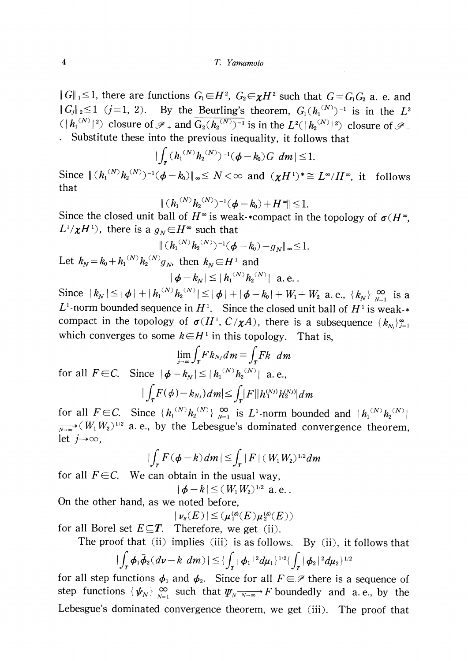$\|G\|_{1} \leq 1,$  there are functions  $G_{1} \!\!\in\!\! H^{2},\; G_{2} \!\!\in\!\! \chi H^{2}$  such that  $G\!=\!G_{1}G_{2}$  a. e. and  $||G_{j}||_{2} \leq 1$  (j=1, 2). By the Beurling's theorem,  $G_{1}(h_{1}^{(N)})^{-1}$  is in the  $L^{2}$  $(|h_{1}^{(N)}|^2)$  closure of  $\mathcal{P}_{+}$  and  $\overline{G_{2}(h_{2}^{(N)})^{-1}}$  is in the  $L^{2}(|h_{2}^{(N)}|^2)$  closure of  $\mathcal{P}_{-}$ Substitute these into the previous inequality, it follows that

$$
|\int_{T} (h_1^{(N)} h_2^{(N)})^{-1} (\phi - k_0) G \ dm| \leq 1.
$$

Since  $\|(h_{1}^{(N)}h_{2}^{(N)})^{-1}(\phi-k_{0})\|_{\infty}\leq N<\infty$  and  $(\chi H^{1})^{*}\cong L^{\infty}/H^{\infty}$ , it follows that

$$
\| (h_1^{(N)} h_2^{(N)})^{-1} (\phi - k_0) + H^{\infty} \| \leq 1.
$$

Since the closed unit ball of  $H^{\infty}$  is weak-\*compact in the topology of  $\sigma(H^{\infty})$  $L^{1}/\chi H^{1}$ , there is a  $g_{N}\in H^{\infty}$  such that

$$
\| (h_1^{(N)} h_2^{(N)})^{-1} (\phi - k_0) - g_N \|_{\infty} \leq 1.
$$

Let  $k_{N}\!=\!k_{0}+h_{1}^{(N)}h_{2}^{(N)}g_{N}$ , then  $k_{N}\!\in\!H^{1}$  and  $|\phi-k_{N}|\leq|h_{1}^{(N)}h_{2}^{(N)}|$  a.e.

Since  $|k_{N}|\leq|\phi|+|h_{1}^{(N)}h_{2}^{(N)}|\leq|\phi|+|\phi-k_{0}|+W_{1}+W_{2}$  a.e.,  $\{k_{N}\}\sum_{N=1}^{\infty}$  is a  $L^{1}$ -norm bounded sequence in  $H^{1}$ . Since the closed unit ball of  $H^{1}$  is weak- $*$ compact in the topology of  $\sigma(H^{1}, C/\chi A)$ , there is a subsequence  $\{ k_{N_{j}}\}_{j=1}^{\infty}$ which converges to some  $k\in H^{1}$  in this topology. That is,

$$
\lim_{j \to \infty} \int_{T} F k_{N_j} dm = \int_{T} F k \ dm
$$
\nfor all  $F \in C$ . Since  $|\phi - k_N| \leq |h_1^{(N)} h_2^{(N)}|$  a. e.,\n
$$
|\int_{T} F(\phi) - k_{N_j}) dm| \leq \int_{T} |F| |h_1^{(N_j)} h_2^{(N_j)}| dm
$$

for all  $F\in C$ . Since  $\{ h_{1}^{(N)}h_{2}^{(N)}\}\big|_{N=1}^{\infty}$  is L<sup>1</sup> norm bounded and  $|h_{1}^{(N)}h_{2}^{(N)}|$  $\overrightarrow{N_{1}}$  (  $W_{1}W_{2}$ )<sup>1/2</sup> a. e., by the Lebesgue's dominated convergence theorem, let  $j\!\!\rightarrow\!\!\infty$ ,

$$
|\int_{T} F(\phi - k) dm| \leq \int_{T} |F| (W_{1} W_{2})^{1/2} dm
$$

for all  $F \in \mathcal{C}$ . We can obtain in the usual way,

$$
|\phi - k| \leq (W_1 W_2)^{1/2}
$$
 a. e.

On the other hand, as we noted before,

 $|\nu_{s}(E)|\leq(\mu_{1}^{\langle s\rangle}(E)\mu_{2}^{\langle s\rangle}(E))$ 

for all Borel set  $E{\subseteq}T$ . Therefore, we get (ii).

The proof that (ii) implies (iii) is as follows. By (ii), it follows that  
\n
$$
|\int_{T} \phi_{1} \overline{\phi}_{2} (dv - k dm)| \leq \left\{ \int_{T} |\phi_{1}|^{2} d\mu_{1} \right\}^{1/2} \left\{ \int_{T} |\phi_{2}|^{2} d\mu_{2} \right\}^{1/2}
$$

for all step functions  $\phi_{1}$  and  $\phi_{2}$ . Since for all  $F\in \mathcal{P}$  there is a sequence of step functions  $\{\psi_{N}\}\subseteq_{1\atop{N=1}}^{\infty}$  such that  $\psi_{N\overline{N\to\infty}}\to F$  boundedly and a. e., by the Lebesgue's dominated convergence theorem, we get (iii). The proof that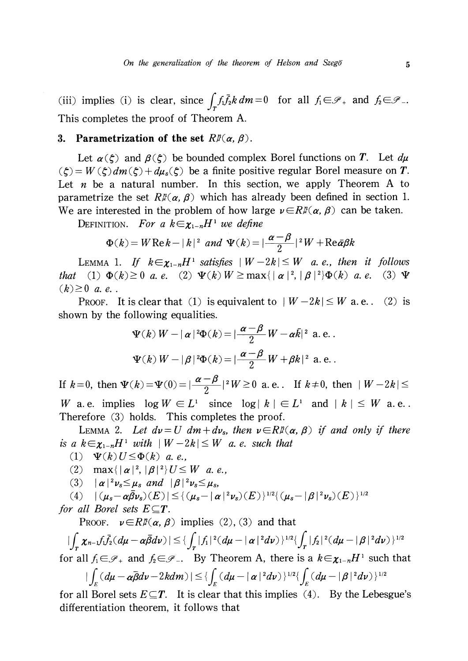(iii) implies (i) is clear, since  $\int f_{1}\overline{f_{2}}k dm=0$  for all  $f_{1}\in \mathscr{P}_{+}$  and  $f_{2}\in \mathscr{P}_{-}$ . This completes the proof of Theorem A.

## 3. Parametrization of the set  $R_{\mathcal{P}}^{\mathcal{P}}(\alpha, \beta)$ .

Let  $\alpha(\zeta)$  and  $\beta(\zeta)$  be bounded complex Borel functions on T. Let  $d\mu$  $(\zeta)=W(\zeta)dm(\zeta)+d\mu_{s}(\zeta)$  be a finite positive regular Borel measure on T. Let *n* be a natural number. In this section, we apply Theorem A to parametrize the set  $R_{\mu}^{n}(\alpha, \beta)$  which has already been defined in section 1. We are interested in the problem of how large  $\nu \in R_{\mu}^{n}(\alpha, \beta)$  can be taken.

DEFINITION. For a  $k\in\chi_{1-n}H^{1}$  we define

$$
\Phi(k) = W \operatorname{Re} k - |k|^2 \ and \ \Psi(k) = |\frac{\alpha - \beta}{2}|^2 W + \operatorname{Re} \bar{\alpha} \beta k
$$

<span id="page-4-0"></span>LEMMA 1. If  $k\in\chi_{1-n}H^{1}$  satisfies  $|W-2k|\leq W$  a. e., then it follows that (1)  $\Phi(k)\geq 0$  a. e. (2)  $\Psi(k)W\geq \max\{|\alpha|^2, |\beta|^2\}\Phi(k)$  a. e. (3)  $\Psi$  $(k)\geq 0$  a. e.

PROOF. It is clear that (1) is equivalent to  $|W-2k|\leq W$  a.e.. (2) is shown by the following equalities.

$$
\Psi(k) W - |\alpha|^2 \Phi(k) = |\frac{\alpha - \beta}{2} W - \alpha \bar{k}|^2 \text{ a.e. }.
$$
  

$$
\Psi(k) W - |\beta|^2 \Phi(k) = |\frac{\alpha - \beta}{2} W + \beta k|^2 \text{ a.e. }.
$$

If  $k=0$ , then  $\Psi(k)=\Psi(0)=|\frac{\alpha-\mu}{2}|^{2}W\geq 0$  a.e.. If  $k\neq 0$ , then  $|W-2k|\leq$ W a. e. implies  $\log W \in L^{1}$  since  $\log|k|\in L^{1}$  and  $|k|\leq W$  a. e. Therefore (3) holds. This completes the proof.

LEMMA 2. Let  $d\nu=U dm+d\nu_{s}$ , then  $\nu\in R^{\pi}(\alpha, \beta)$  if and only if there is a  $k\in\chi_{1-n}H^{1}$  with  $|W-2k|\leq W$  a. e. such that

- (1)  $\Psi(k)U\leq\Phi(k)$  a. e.,
- (2)  $\max\{|{\alpha}|^{2}, |{\beta}|^{2}\}U\leq W$  a. e.,
- (3)  $|\alpha|^2\nu_{s}\leq\mu_{s}$  and  $|\beta|^2\nu_{s}\leq\mu_{s}$ ,

 $|(4)\quad|\left(\mu_{s}-\alpha\bar{\beta}\nu_{s}\right)(E)|\leq\{\left(\mu_{s}-|\alpha|^{2}\nu_{s}\right)(E)\}^{1/2}\{\left(\mu_{s}-|\beta|^{2}\nu_{s}\right)(E)\}^{1/2}$ 

for all Borel sets  $E\subseteq T$ .

PROOF.  $\nu \in R^m(\alpha, \beta)$  implies (2), (3) and that

 $|\int_{T}\chi_{n-1}f_{1}\overline{f_{2}}(d\mu-\alpha\overline{\beta}d\nu)|\leq\{\int_{T}|f_{1}|^{2}(d\mu-|\alpha|^{2}d\nu)\}^{1/2}\{\int_{T}|f_{2}|^{2}(d\mu-|\beta|^{2}d\nu)\}^{1/2}$ 

for all  $f_{1}\in \mathscr{P}_{+}$  and  $f_{2}\in \mathscr{P}_{-}.$  By Theorem A, there is a  $k\in\chi_{1-n}H^{1}$  such that  $\int_{\mathbb{R}}(d\mathbf{z}d\mathbf{z}-\mathbf{z}d\mathbf{z})\,d\mathbf{z}d\mathbf{z}$ 

$$
|\int_{E} (d\mu - \alpha \beta d\nu - 2k d m)| \leq \int_{E} (d\mu - |\alpha|^{2} d\nu)^{\frac{1}{2}} \int_{E} (d\mu - |\beta|^{2} d\nu)^{\frac{1}{2}}
$$

for all Borel sets  $E\subseteq T$ . It is clear that this implies (4). By the Lebesgue's differentiation theorem, it follows that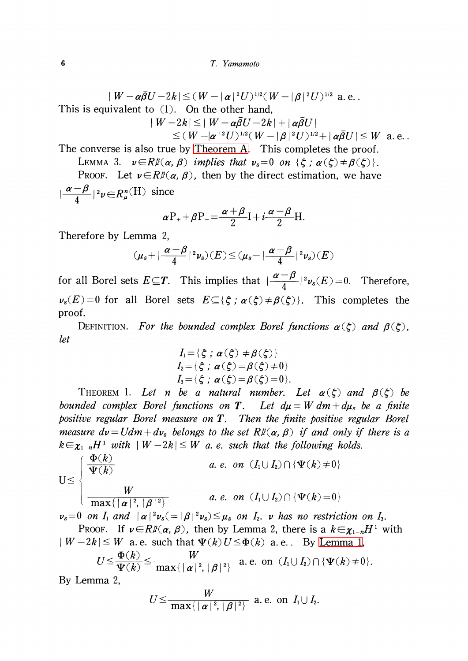$$
|W - \alpha \bar{\beta} U - 2k| \leq (W - |\alpha|^2 U)^{1/2} (W - |\beta|^2 U)^{1/2} \text{ a.e.}
$$

This is equivalent to (1). On the other hand,

$$
\begin{aligned} \mid W-2k \vert \leq \mid W-\pmb{\alpha}\bar{\pmb{\beta}}U-2k \vert + \mid \pmb{\alpha}\bar{\pmb{\beta}}U \mid \\ \leq (\,W-\vert \pmb{\alpha} \,\vert^{\,2}U\,)^{1/2}(\,W-\vert \pmb{\beta} \,\vert^{\,2}U\,)^{1/2} + \mid \pmb{\alpha}\bar{\pmb{\beta}}U \,\vert \leq W \ \ \text{a. e.} \end{aligned}
$$

The converse is also true by [Theorem](#page-1-0) A. This completes the proof.

LEMMA 3. 
$$
v \in R^{\pi}(\alpha, \beta)
$$
 implies that  $v_s = 0$  on  $\{\xi : \alpha(\xi) \neq \beta(\xi)\}$ .  
PROOF. Let  $v \in R^{\pi}(\alpha, \beta)$ , then by the direct estimation, we have

 $|\frac{\alpha-\beta}{4}|^{2}\nu\in R_{\mu}^{n}(H)$  since

$$
\alpha P_{+}+\beta P_{-}=\frac{\alpha+\beta}{2}I+i\frac{\alpha-\beta}{2}H.
$$

Therefore by Lemma 2,

$$
(\mu_s + |\frac{\alpha - \beta}{4}|^2 \nu_s)(E) \leq (\mu_s - |\frac{\alpha - \beta}{4}|^2 \nu_s)(E)
$$

for all Borel sets  $E\subseteq T$ . This implies that  $|\frac{\alpha-\mu}{4}|^{2}\nu_{s}(E)=0$ . Therefore,  $\nu_{s}(E)=0$  for all Borel sets  $E\subseteq\{\zeta;\alpha(\zeta)\neq\beta(\zeta)\}\$ . This completes the proof.

DEFINITION. For the bounded complex Borel functions  $\alpha(\zeta)$  and  $\beta(\zeta)$ , let

$$
I_1 = \{ \zeta \; ; \; \alpha(\zeta) \neq \beta(\zeta) \}
$$
  
\n
$$
I_2 = \{ \zeta \; ; \; \alpha(\zeta) = \beta(\zeta) \neq 0 \}
$$
  
\n
$$
I_3 = \{ \zeta \; ; \; \alpha(\zeta) = \beta(\zeta) = 0 \}.
$$

THEOREM 1. Let n be a natural number. Let  $\alpha(\zeta)$  and  $\beta(\zeta)$  be bounded complex Borel functions on T. Let  $d\mu = W dm + d\mu_{s}$  be a finite positive regular Borel measure on  $T$ . Then the finite positive regular Borel measure  $d\nu=Udm+d\nu_{s}$  belongs to the set  $R_{\mu}^{n}(\alpha, \beta)$  if and only if there is a  $k\in\chi_{1-n}H^{1}$  with  $|W-2k|\leq W$  a. e. such that the following holds.

$$
U \leq \begin{cases} \frac{\Phi(k)}{\Psi(k)} & a.e. \text{ on } (I_1 \cup I_2) \cap {\Psi(k) \neq 0} \\ W & a.e. \text{ on } (I_1 \cup I_2) \cap {\Psi(k) \neq 0} \\ \frac{W}{\max\{|\alpha|^2, |\beta|^2\}} & a.e. \text{ on } (I_1 \cup I_2) \cap {\Psi(k) = 0} \\ \nu_s = 0 \text{ on } I_1 \text{ and } |\alpha|^2 \nu_s (= |\beta|^2 \nu_s) \leq \mu_s \text{ on } I_2. \text{ v has no restriction on } I_3. \end{cases}
$$

Proof. If  $\nu \in R_{\mathcal{F}}(\alpha, \beta)$ , then by Lemma 2, there is a  $k \in \chi_{1-n}H^{1}$  with  $|W-2k|\leq W$  a.e. such that  $\Psi(k)U\leq\Phi(k)$  a.e. By [Lemma](#page-4-0) 1,

$$
U \leq \frac{\Phi(k)}{\Psi(k)} \leq \frac{W}{\max\{|\alpha|^2, |\beta|^2\}} \text{ a.e. on } (I_1 \cup I_2) \cap {\Psi(k) \neq 0}.
$$

By Lemma 2,

$$
U\!\leq\!\frac{W}{\max\{\,\mid\boldsymbol{\alpha}\!\mid^2,\,|\boldsymbol{\beta}\!\mid^2\}}\;\;{\rm a.\;e.\;\;on}\;\;I_1\!\cup I_2.
$$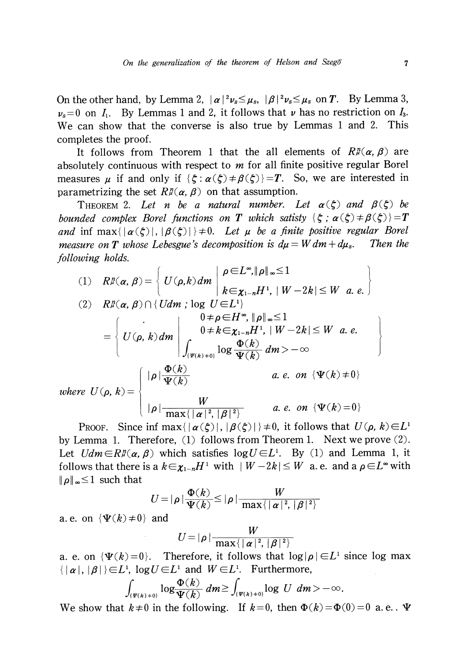On the other hand, by Lemma 2,  $|\alpha|^2\nu_{s}\leq\mu_{s}$ ,  $|\beta|^2\nu_{s}\leq\mu_{s}$  on T. By Lemma 3,  $\nu_{s}=0$  on  $I_{1}$ . By Lemmas 1 and 2, it follows that  $\nu$  has no restriction on  $I_{3}$ . We can show that the converse is also true by Lemmas <sup>1</sup> and 2. This completes the proof.

It follows from Theorem 1 that the all elements of  $R_{\mathcal{P}}^n(\alpha, \beta)$  are absolutely continuous with respect to  $m$  for all finite positive regular Borel measures  $\mu$  if and only if  $\{\zeta:\alpha(\zeta)\neq\beta(\zeta)\}=T$ . So, we are interested in parametrizing the set  $R_{\mu}^{\mathfrak{n}}(\alpha, \beta)$  on that assumption.

<span id="page-6-0"></span>THEOREM 2. Let n be a natural number. Let  $\alpha(\zeta)$  and  $\beta(\zeta)$  be bounded complex Borel functions on T which satisty  $\{\xi:\alpha(\xi)\neq\beta(\xi)\}=T$ and inf  $\max\{|\alpha(\zeta)|, |\beta(\zeta)|\}\neq 0$ . Let  $\mu$  be a finite positive regular Borel measure on T whose Lebesgue's decomposition is  $d\mu=Wdm+d\mu_{s}$ . Then the following holds.

(1) 
$$
R\mathcal{F}(\alpha, \beta) = \begin{cases} U(\rho, k) dm \mid \rho \in L^{\infty}, \|\rho\|_{\infty} \le 1 \\ k \in \chi_{1-n} H^1, \mid W - 2k \mid \le W \quad a. \quad e. \end{cases}
$$
  
\n(2)  $R\mathcal{F}(\alpha, \beta) \cap \{Udm : \log U \in L^1\}$   
\n $= \begin{cases} 0 \quad 0 \ne \rho \in H^{\infty}, \|\rho\|_{\infty} \le 1 \\ U(\rho, k) dm \mid \int_{\{\Psi(k) + 0\}} 0 \ne k \in \chi_{1-n} H^1, \mid W - 2k \mid \le W \quad a. \quad e. \\ \int_{\{\Psi(k) + 0\}} \log \frac{\Phi(k)}{\Psi(k)} dm > -\infty \end{cases}$   
\nwhere  $U(\rho, k) = \begin{cases} |\rho| \frac{\Phi(k)}{\Psi(k)} & a. \quad e. \quad on \ \{\Psi(k) \ne 0\} \\ |\rho| \frac{W}{\max\{|\alpha|^2, |\beta|^2\}} & a. \quad e. \quad on \ \{\Psi(k) = 0\} \end{cases}$ 

PROOF. Since inf  $\max\{|\alpha(\xi)|, |\beta(\xi)|\}\neq 0$ , it follows that  $U(\rho, k)\in L^{1}$ by Lemma 1. Therefore, (1) follows from Theorem 1. Next we prove (2). Let  $Udm \in R^{n}(\alpha, \beta)$  which satisfies  $\log U \in L^{1}$ . By (1) and Lemma 1, it follows that there is a  $k\in\chi_{1-n}H^{1}$  with  $|W-2k|\leq W$  a.e. and a  $\rho\in L^{\infty}$  with  $\|\rho\|_{\infty}\leq 1$  such that

$$
U = |\rho| \frac{\Phi(k)}{\Psi(k)} \leq |\rho| \frac{W}{\max\{|\alpha|^2, |\beta|^2\}}
$$

a. e. on  $\{\Psi(k)\neq 0\}$  and

$$
U = |\rho| \frac{W}{\max\{|\alpha|^2,|\beta|^2\}}
$$

a. e. on  $\{\Psi(k)=0\}$ . Therefore, it follows that  $\log|\rho|\in L^{1}$  since log max  $\{|\alpha|, |\beta|\}\in L^{1}$ ,  $\log U\in L^{1}$  and  $W\in L^{1}$ . Furthermore,

$$
\int_{\{\Psi(k)+0\}}\log\frac{\Phi(k)}{\Psi(k)}\ dm\geq \int_{\{\Psi(k)+0\}}\log\ U\ dm>-\infty.
$$

We show that  $k\neq 0$  in the following. If  $k=0$ , then  $\Phi(k)=\Phi(0)=0$  a.e.  $\Psi$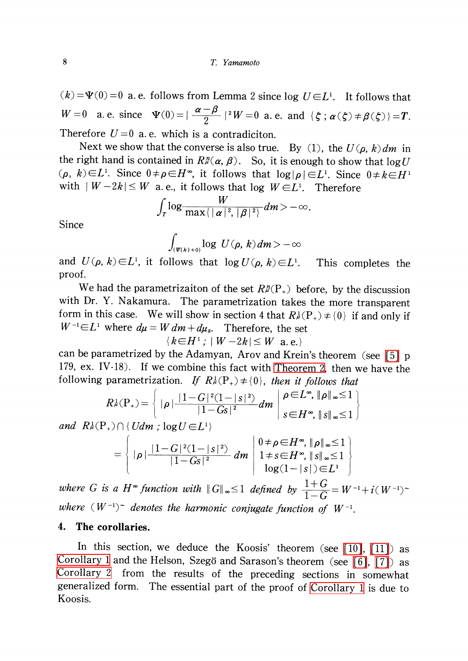$(k) = \Psi(0) = 0$  a. e. follows from Lemma 2 since log  $U \in L^{1}$ . It follows that  $W=0$  a. e. since  $\Psi(0)=|\frac{\alpha-\beta}{2}|^{2}W=0$  a. e. and  $\{\zeta;\alpha(\zeta)\neq\beta(\zeta)\}=T$ . Therefore  $U=0$  a.e. which is a contradiciton.

Next we show that the converse is also true. By (1), the  $U(\rho, k)dm$  in the right hand is contained in  $R_{\mathcal{I}}^n(\alpha, \beta)$ . So, it is enough to show that  $\log U$  $(\rho, k) \in L^{1}$ . Since  $0\neq\rho\in H^{\infty}$ , it follows that  $\log|\rho|\in L^{1}$ . Since  $0\neq k\in H^{\,1}$ with  $\mid W-2k\mid\leq W$  a.e., it follows that log  $W\!\in\! L^{1}.$  Therefore

$$
\int_T \log \frac{W}{\max\{|\alpha|^2,|\beta|^2\}} dm > -\infty.
$$

Since

$$
\int_{\{\Psi(k)+0\}}\log\;U(\rho,k)\,dm\!>\!-\infty
$$

and  $U(\rho, k)\in L^{1}$ , it follows that  $\log U(\rho, k)\in L^{1}$ . This completes the proof.

We had the parametrizaiton of the set  $R_{\mathcal{H}}^{n}(P_{+})$  before, by the discussion with Dr. Y. Nakamura. The parametrization takes the more transparent form in this case. We will show in section 4 that  $R_{\mathcal{F}}^{1}(P_{+})\neq\{0\}$  if and only if  $W^{-1}\in L^{1}$  where  $d\mu=Wdm+d\mu_{s}$ . Therefore, the set

$$
\{k\in H^1\,;\,|\,W-2k|\leq W\ \text{a.e.}\}
$$

can be parametrized by the Adamyan, Arov and Krein's theorem (see [\[5\]](#page-9-3) <sup>p</sup> 179, ex. IV-18). If we combine this fact with [Theorem](#page-6-0) 2, then we have the following parametrization. If  $R_{\mu}^{1}(P_{+})\neq\{0\}$ , then it follows that

$$
R^{\lambda}_{\mu}(\mathbf{P}_{+}) = \left\{ |\rho| \frac{|1 - G|^{2} (1 - |s|^{2})}{|1 - Gs|^{2}} dm \middle| \begin{array}{l} \rho \in L^{\infty}, \|\rho\|_{\infty} \leq 1 \\ s \in H^{\infty}, \||s\|_{\infty} \leq 1 \end{array} \right\}
$$

and  $R_{\mu}^{1}(P_{+})\cap {Udm}$ ;  $log U\in L^{1}$ 

$$
= \left\{ |\rho| \frac{|1-G|^2 (1-|s|^2)}{|1-Gs|^2} dm \left| \begin{array}{l} 0 \neq \rho \in H^{\infty}, \|\rho\|_{\infty} \leq 1 \\ 1 \neq s \in H^{\infty}, \|\tilde{s}\|_{\infty} \leq 1 \\ \log(1-|s|) \in L^1 \end{array} \right| \right\}
$$

where G is a H<sup>oo</sup> function with  $||G||_{\infty}\leq 1$  defined by  $\frac{1+G}{1-G}=W^{-1}+i(W^{-1})^{\sim}$ where  $(W^{-1})^{\sim}$  denotes the harmonic conjugate function of  $W^{-1}$ .

## 4. The corollaries.

In this section, we deduce the Koosis' theorem (see [\[10\],](#page-10-0) [\[11\]\)](#page-10-1) as [Corollary](#page-8-0) 1 and the Helson, Szegö and Sarason's theorem (see [\[6\],](#page-9-4) [\[7\]](#page-9-5)) as [Corollary](#page-8-1) <sup>2</sup> from the results of the preceding sections in somewhat generalized form. The essential part of the proof of [Corollary](#page-8-0) <sup>1</sup> is due to Koosis.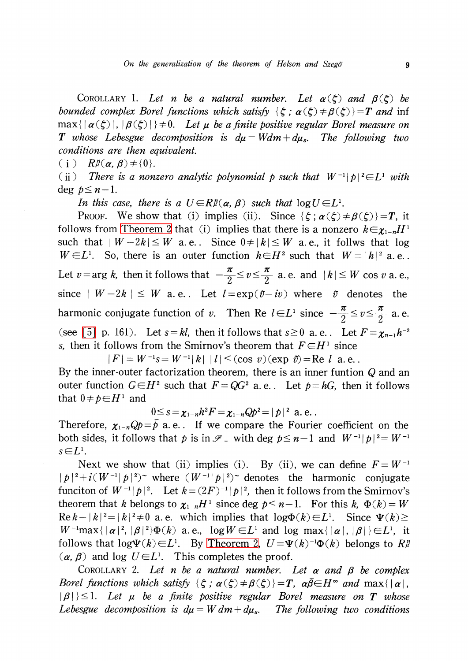<span id="page-8-0"></span>COROLLARY 1. Let n be a natural number. Let  $\alpha(\xi)$  and  $\beta(\xi)$  be bounded complex Borel functions which satisfy  $\{\xi\,;\,\alpha(\xi)\neq\beta(\xi)\}=T$  and inf  $\max\{|\alpha(\zeta)|, |\beta(\zeta)|\}\neq 0$ . Let  $\mu$  be a finite positive regular Borel measure on **T** whose Lebesgue decomposition is  $d\mu = Wdm + d\mu_{s}$ . The following two conditions are then equivalent.

(i)  $R_{\mu}^{n}(\alpha, \beta)\neq\{0\}.$ 

(ii) There is a nonzero analytic polynomial p such that  $W^{-1}|p|^{2}\in L^{1}$  with deg  $p \leq n-1$ .

In this case, there is a  $U\in R_{\mu}^{n}(\alpha, \beta)$  such that  $\log U\in L^{1}$ .

Proof. We show that (i) implies (ii). Since  $\{\zeta\,;\,\alpha(\zeta)\neq\beta(\zeta)\}=T$ , it follows from [Theorem](#page-6-0) 2 that (i) implies that there is a nonzero  $k \in \chi_{1-n}H^{1}$ such that  $|W-2k|\leq W$  a.e.. Since  $0\neq |k|\leq W$  a.e., it follws that log  $W\!\in\! L^{1}$ . So, there is an outer function  $h\!\in\! H^{2}$  such that  $W\!=\!|h|^{2}$  a.e.. Let  $v=\arg k$ , then it follows that  $-\frac{\pi}{2}\leq v\leq\frac{\pi}{2}$  a. e. and  $|k|\leq W$  cos v a. e., since  $|W-2k|\leq W$  a.e.. Let  $l=\exp(\tilde{v}-iv)$  where  $\tilde{v}$  denotes the harmonic conjugate function of v. Then Re  $l\in L^{1}$  since  $-\frac{\pi}{2}\leq v\leq\frac{\pi}{2}$  a.e. (see [\[5\]](#page-9-3) p. 161). Let  $s=kl$ , then it follows that  $s\geq 0$  a. e. Let  $F=\chi_{n-1}h^{-2}$ s, then it follows from the Smirnov's theorem that  $F\in H^{1}$  since

 $|F| = W^{-1}s = W^{-1}|k|$   $|l| \leq$  (cos v) (exp  $\tilde{v}$ ) = Re l a.e.

By the inner-0uter factorization theorem, there is an inner funtion Q and an outer function  $G\in H^{2}$  such that  $F=QG^{2}$  a. e. Let  $p=hG$ , then it follows that  $0 \neq p \in H^{1}$  and

$$
0 \leq s = \chi_{1-n} h^2 F = \chi_{1-n} Q p^2 = |p|^2 \text{ a.e.}.
$$

Therefore,  $\chi_{1-n}\mathbb{Q}p=\overline{p}$  a.e.. If we compare the Fourier coefficient on the both sides, it follows that p is in  $\mathscr{P}_{+}$  with deg  $p\leq n-1$  and  $W^{-1}|p|^{2}=W^{-1}$  $s{\in}L^{1}.$ 

Next we show that (ii) implies (i). By (ii), we can define  $F = W^{-1}$  $|p|^{2}+i(W^{-1}|p|^{2})^{\sim}$  where  $(W^{-1}|p|^{2})^{\sim}$  denotes the harmonic conjugate funciton of  $W^{-1}|p|^{2}$ . Let  $k=(2F)^{-1}|p|^{2}$ , then it follows from the Smirnov's theorem that k belongs to  $\chi_{1-n}H^{1}$  since deg  $p\leq n-1$ . For this k,  $\Phi(k)=W$  $\text{Re } k-|k|^{2}=|k|^{2}\neq 0$  a. e. which implies that  $\log\Phi(k)\in L^{1}$ . Since  $\Psi(k)\geq$  $W^{-1} \max\{|{\alpha}|^{2}, |\beta|^2\}\Phi(k)$  a.e.,  $\log W\in L^{1}$  and log max $\{|{\alpha}|, |{\beta}|\}\in L^{1}$ , it follows that  $\log\Psi(k)\in L^{1}$ . By [Theorem](#page-6-0) 2,  $U=\Psi(k)^{-1}\Phi(k)$  belongs to  $R_{\mathcal{F}}^{n}$  $(\alpha, \beta)$  and log  $U \in L^{1}$ . This completes the proof.

<span id="page-8-1"></span>COROLLARY 2. Let n be a natural number. Let  $\alpha$  and  $\beta$  be complex Borel functions which satisfy  $\{\zeta\,;\,\alpha(\zeta)\neq\beta(\zeta)\}=T_{\zeta}$ ,  $\alpha\overline{\beta}\in H^{\infty}$  and  $\max\{|\alpha|,$  $|\beta|\,\}{le}1$ . Let  $\mu$  be a finite positive regular Borel measure on  $T$  whose Lebesgue decomposition is  $d\mu=Wdm+d\mu_{s}$ . The following two conditions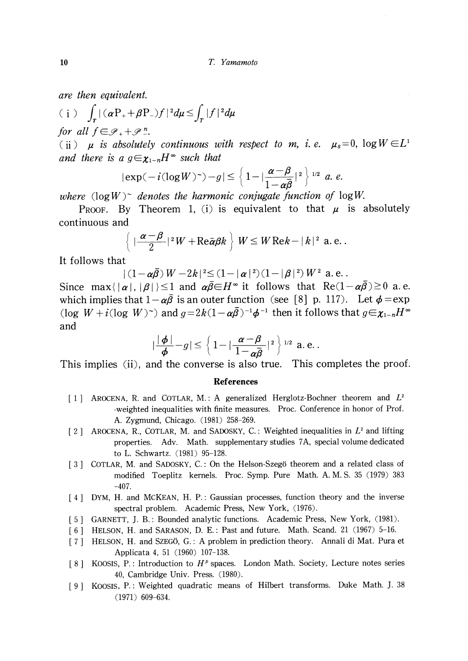are then equivalent.

$$
(i) \quad \int_{T} |(\alpha P_{+} + \beta P_{-}) f|^{2} d\mu \leq \int_{T} |f|^{2} d\mu
$$

for all  $f\in \mathscr{P}_{+}+\mathscr{P}_{-}^{n}$ .

(ii)  $\mu$  is absolutely continuous with respect to m, i.e.  $\mu_{s}=0$ ,  $\log W\in L^{1}$ and there is a  $g\in\chi_{1-n}H^{\infty}$  such that

$$
|\exp(-i(\log W)^{-})-g|\leq \left\{1-|\frac{\alpha-\beta}{1-\alpha\overline{\beta}}|^{2}\right\}^{1/2} a.\ e.
$$

where  $(\log W)^{\sim}$  denotes the harmonic conjugate function of  $\log W$ .

PROOF. By Theorem 1, (i) is equivalent to that  $\mu$  is absolutely continuous and

$$
\left\{\lceil \frac{\alpha-\beta}{2}\rceil^2 W+\mathrm{Re}\bar{\alpha}\beta k\right\}\,W\leq W\,\mathrm{Re}k-\lceil k\rceil^2\,\mathrm{ a.\, e.\,}.
$$

It follows that

$$
|(1-\alpha\overline{\beta})W-2k|^2\leq(1-|\alpha|^2)(1-|\beta|^2)W^2
$$
 a.e.

Since max $\{|\alpha|, |\beta|\}\leq 1$  and  $\alpha\overline{\beta}\in H^{\infty}$  it follows that  ${\rm Re}(1-\alpha\overline{\beta})\geq 0$  a.e. which implies that  $1-\alpha\overline{\beta}$  is an outer function (see [8] p. 117). Let  $\phi=\exp$ (log  $W+i(\log W)^{\sim}$ ) and  $q=2k(1-\alpha\overline{\beta})^{-1}\phi^{-1}$  then it follows that  $g\in\chi_{1-n}H^{\infty}$ and

$$
|\frac{|\phi|}{\phi}-g|\leq \left\{1-|\frac{\alpha-\beta}{1-\alpha\overline{\beta}}|^2\right\}^{1/2} \text{ a. e.}.
$$

This implies (ii), and the converse is also true. This completes the proof.

#### References

- <span id="page-9-0"></span>[1] AROCENA, R. and COTLAR, M.: A generalized Herglotz-Bochner theorem and  $L^{2}$ -weighted inequalities with finite measures. Proc. Conference in honor of Prof. A. Zygmund, Chicago. (1981) 258-269.
- <span id="page-9-1"></span>[2] AROCENA, R., COTLAR, M. and SADOSKY, C.: Weighted inequalities in  $L^{2}$  and lifting properties. Adv. Math, supplementary studies 7A, special volume dedicated to L. Schwartz. (1981) 95-128.
- <span id="page-9-2"></span>[3] COTLAR, M. and SADOSKY, C.: On the Helson-Szegö theorem and a related class of modified Toeplitz kernels. Proc. Symp. Pure Math. A. M. S. 35 (1979) 383 -407.
- [4] DYM, H. and MCKEAN, H. P.: Gaussian processes, function theory and the inverse spectral problem. Academic Press, New York, (1976).
- <span id="page-9-3"></span>[5] GARNETT, J. B.: Bounded analytic functions. Academic Press, New York, (1981).
- <span id="page-9-4"></span>[6] HELSON, H. and SARASON, D. E.: Past and future. Math. Scand. 21 (1967) 5-16.
- <span id="page-9-5"></span>[7] HELSON, H. and SZEGÖ, G.: A problem in prediction theory. Annali di Mat. Pura et Applicata 4, 51 (1960) 107-138.
- [8] KOOSIS, P.: Introduction to  $H^{p}$  spaces. London Math. Society, Lecture notes series 40, Cambridge Univ. Press. (1980).
- [9] KOOSIS, P.: Weighted quadratic means of Hilbert transforms. Duke Math. J. 38 (1971) 609-634.